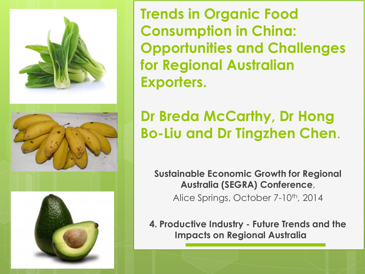



**Trends in Organic Food Consumption in China: Opportunities and Challenges for Regional Australian Exporters.**

## **Dr Breda McCarthy, Dr Hong Bo-Liu and Dr Tingzhen Chen**.

**Sustainable Economic Growth for Regional Australia (SEGRA) Conference**, Alice Springs, October 7-10<sup>th</sup>, 2014

**4. Productive Industry - Future Trends and the Impacts on Regional Australia** 

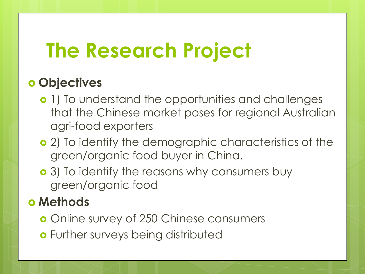## **The Research Project**

#### **Objectives**

- **o** 1) To understand the opportunities and challenges that the Chinese market poses for regional Australian agri-food exporters
- 2) To identify the demographic characteristics of the green/organic food buyer in China.
- **o** 3) To identify the reasons why consumers buy green/organic food

#### **Methods**

- **o** Online survey of 250 Chinese consumers
- **o** Further surveys being distributed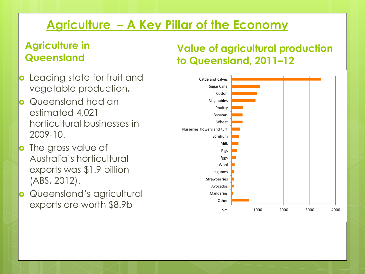### **Agriculture – A Key Pillar of the Economy**

#### **Agriculture in Queensland**

#### **Value of agricultural production to Queensland, 2011–12**

- **o** Leading state for fruit and vegetable production**.**
- **o** Queensland had an estimated 4,021 horticultural businesses in 2009-10.
- **o** The gross value of Australia's horticultural exports was \$1.9 billion (ABS, 2012).
- **o** Queensland's agricultural exports are worth \$8.9b

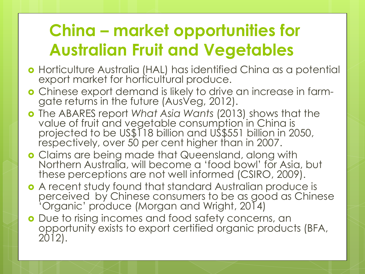## **China – market opportunities for Australian Fruit and Vegetables**

- Horticulture Australia (HAL) has identified China as a potential export market for horticultural produce.
- Chinese export demand is likely to drive an increase in farmgate returns in the future (AusVeg, 2012).
- The ABARES report *What Asia Wants* (2013) shows that the value of fruit and vegetable consumption in China is projected to be US\$118 billion and US\$551 billion in 2050, respectively, over 50 per cent higher than in 2007.
- **o** Claims are being made that Queensland, along with Northern Australia, will become a 'food bowl' for Asia, but these perceptions are not well informed (CSIRO, 2009).
- A recent study found that standard Australian produce is perceived by Chinese consumers to be as good as Chinese 'Organic' produce (Morgan and Wright, 2014)
- **o** Due to rising incomes and food safety concerns, an opportunity exists to export certified organic products (BFA, 2012).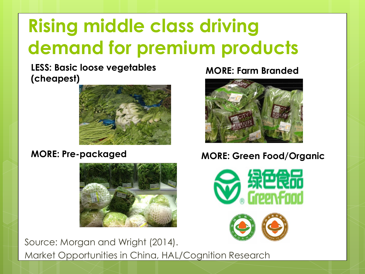## **Rising middle class driving demand for premium products**

**LESS: Basic loose vegetables (cheapest)** 





**MORE: Farm Branded** 



#### **MORE: Pre-packaged MORE: Green Food/Organic**





Source: Morgan and Wright (2014). Market Opportunities in China, HAL/Cognition Research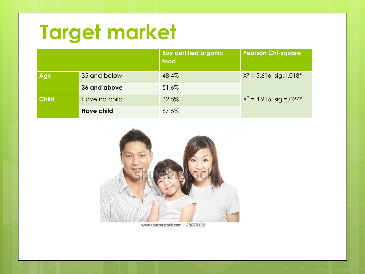# **Target market**

|              |                   | <b>Buy certified organic</b><br>food | <b>Pearson Chi-square</b>  |
|--------------|-------------------|--------------------------------------|----------------------------|
| Age          | 35 and below      | 48.4%                                | $X^2 = 5.616$ ; sig.=.018* |
|              | 36 and above      | 51.6%                                |                            |
| <b>Child</b> | Have no child     | 32.5%                                | $X^2 = 4.915$ ; sig.=.027* |
|              | <b>Have child</b> | 67.5%                                |                            |



www.shutterstock.com · 28879132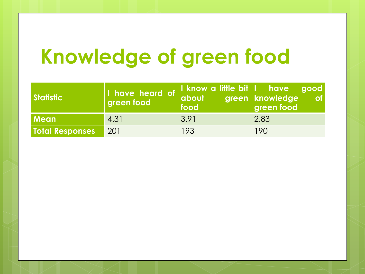# **Knowledge of green food**

| <b>Statistic</b>       | green food | <b>food</b> | I have heard of Tknow a little bit I have good<br><b>green food</b> |
|------------------------|------------|-------------|---------------------------------------------------------------------|
| <b>Mean</b>            | 4.31       | 3.91        | 2.83                                                                |
| <b>Total Responses</b> | 201        | 193         | 190                                                                 |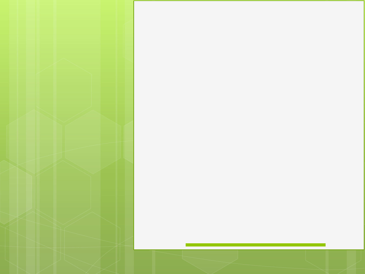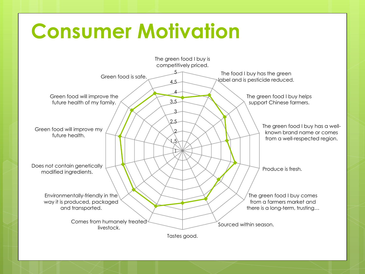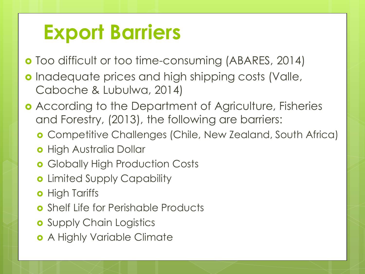## **Export Barriers**

- Too difficult or too time-consuming (ABARES, 2014)
- **o** Inadequate prices and high shipping costs (Valle, Caboche & Lubulwa, 2014)
- According to the Department of Agriculture, Fisheries and Forestry, (2013), the following are barriers:
	- Competitive Challenges (Chile, New Zealand, South Africa)
	- **o** High Australia Dollar
	- **o** Globally High Production Costs
	- **o** Limited Supply Capability
	- **o** High Tariffs
	- Shelf Life for Perishable Products
	- **o** Supply Chain Logistics
	- **o** A Highly Variable Climate